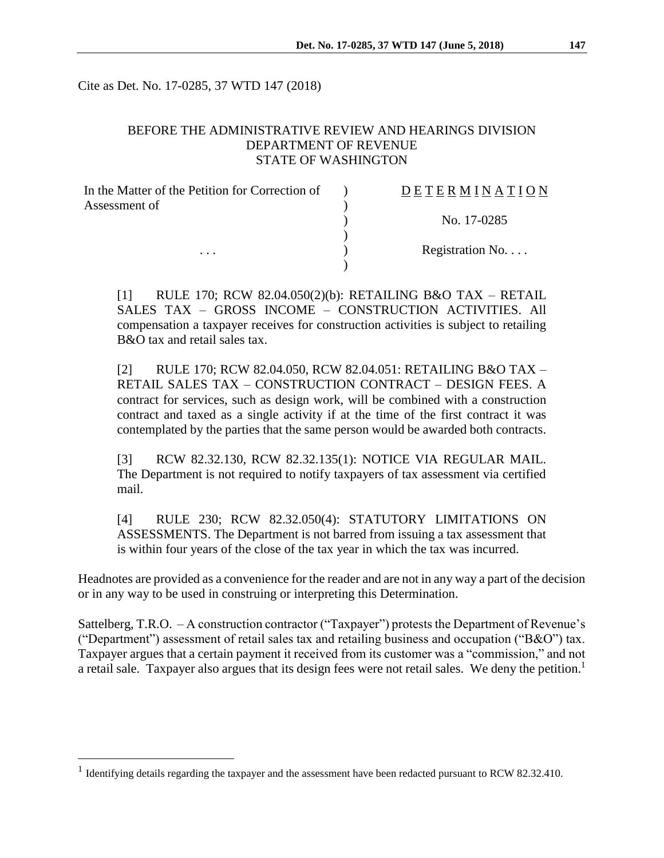Cite as Det. No. 17-0285, 37 WTD 147 (2018)

### BEFORE THE ADMINISTRATIVE REVIEW AND HEARINGS DIVISION DEPARTMENT OF REVENUE STATE OF WASHINGTON

| In the Matter of the Petition for Correction of | DETERMINATION   |
|-------------------------------------------------|-----------------|
| Assessment of                                   |                 |
|                                                 | No. 17-0285     |
|                                                 |                 |
| $\cdots$                                        | Registration No |
|                                                 |                 |

[1] RULE 170; RCW 82.04.050(2)(b): RETAILING B&O TAX – RETAIL SALES TAX – GROSS INCOME – CONSTRUCTION ACTIVITIES. All compensation a taxpayer receives for construction activities is subject to retailing B&O tax and retail sales tax.

[2] RULE 170; RCW 82.04.050, RCW 82.04.051: RETAILING B&O TAX – RETAIL SALES TAX – CONSTRUCTION CONTRACT – DESIGN FEES. A contract for services, such as design work, will be combined with a construction contract and taxed as a single activity if at the time of the first contract it was contemplated by the parties that the same person would be awarded both contracts.

[3] RCW 82.32.130, RCW 82.32.135(1): NOTICE VIA REGULAR MAIL. The Department is not required to notify taxpayers of tax assessment via certified mail.

[4] RULE 230; RCW 82.32.050(4): STATUTORY LIMITATIONS ON ASSESSMENTS. The Department is not barred from issuing a tax assessment that is within four years of the close of the tax year in which the tax was incurred.

Headnotes are provided as a convenience for the reader and are not in any way a part of the decision or in any way to be used in construing or interpreting this Determination.

Sattelberg, T.R.O. – A construction contractor ("Taxpayer") protests the Department of Revenue's ("Department") assessment of retail sales tax and retailing business and occupation ("B&O") tax. Taxpayer argues that a certain payment it received from its customer was a "commission," and not a retail sale. Taxpayer also argues that its design fees were not retail sales. We deny the petition.<sup>1</sup>

 $\overline{a}$ 

<sup>&</sup>lt;sup>1</sup> Identifying details regarding the taxpayer and the assessment have been redacted pursuant to RCW 82.32.410.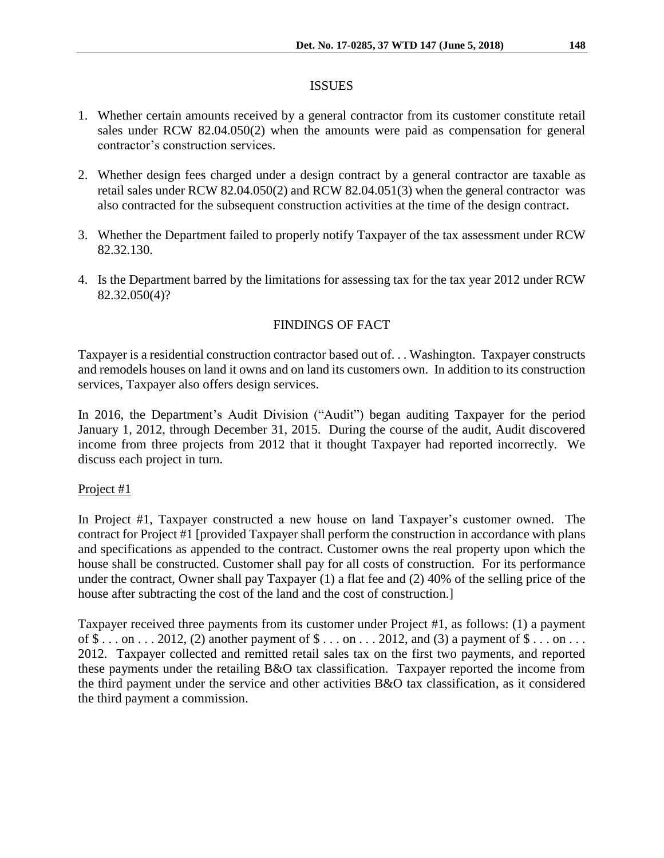### ISSUES

- 1. Whether certain amounts received by a general contractor from its customer constitute retail sales under RCW 82.04.050(2) when the amounts were paid as compensation for general contractor's construction services.
- 2. Whether design fees charged under a design contract by a general contractor are taxable as retail sales under RCW 82.04.050(2) and RCW 82.04.051(3) when the general contractor was also contracted for the subsequent construction activities at the time of the design contract.
- 3. Whether the Department failed to properly notify Taxpayer of the tax assessment under RCW 82.32.130.
- 4. Is the Department barred by the limitations for assessing tax for the tax year 2012 under RCW 82.32.050(4)?

## FINDINGS OF FACT

Taxpayer is a residential construction contractor based out of. . . Washington. Taxpayer constructs and remodels houses on land it owns and on land its customers own. In addition to its construction services, Taxpayer also offers design services.

In 2016, the Department's Audit Division ("Audit") began auditing Taxpayer for the period January 1, 2012, through December 31, 2015. During the course of the audit, Audit discovered income from three projects from 2012 that it thought Taxpayer had reported incorrectly. We discuss each project in turn.

### Project #1

In Project #1, Taxpayer constructed a new house on land Taxpayer's customer owned. The contract for Project #1 [provided Taxpayer shall perform the construction in accordance with plans and specifications as appended to the contract. Customer owns the real property upon which the house shall be constructed. Customer shall pay for all costs of construction. For its performance under the contract, Owner shall pay Taxpayer (1) a flat fee and (2) 40% of the selling price of the house after subtracting the cost of the land and the cost of construction.]

Taxpayer received three payments from its customer under Project #1, as follows: (1) a payment of  $\$\dots$  on  $\dots$  2012, (2) another payment of  $\$\dots$  on  $\dots$  2012, and (3) a payment of  $\$\dots$  on  $\dots$ 2012. Taxpayer collected and remitted retail sales tax on the first two payments, and reported these payments under the retailing B&O tax classification. Taxpayer reported the income from the third payment under the service and other activities B&O tax classification, as it considered the third payment a commission.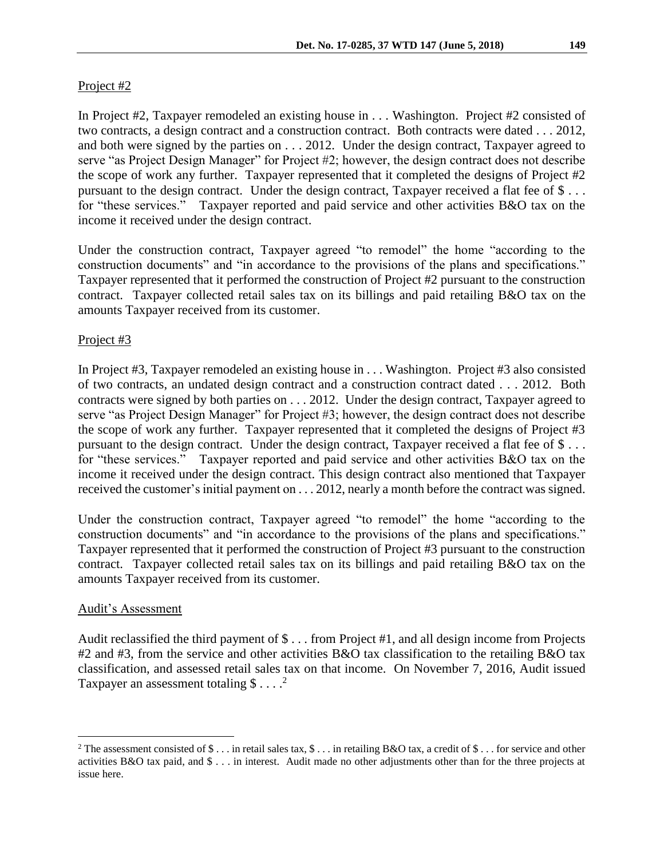## Project #2

In Project #2, Taxpayer remodeled an existing house in . . . Washington. Project #2 consisted of two contracts, a design contract and a construction contract. Both contracts were dated . . . 2012, and both were signed by the parties on . . . 2012. Under the design contract, Taxpayer agreed to serve "as Project Design Manager" for Project #2; however, the design contract does not describe the scope of work any further. Taxpayer represented that it completed the designs of Project #2 pursuant to the design contract. Under the design contract, Taxpayer received a flat fee of \$ . . . for "these services." Taxpayer reported and paid service and other activities B&O tax on the income it received under the design contract.

Under the construction contract, Taxpayer agreed "to remodel" the home "according to the construction documents" and "in accordance to the provisions of the plans and specifications." Taxpayer represented that it performed the construction of Project #2 pursuant to the construction contract. Taxpayer collected retail sales tax on its billings and paid retailing B&O tax on the amounts Taxpayer received from its customer.

## Project #3

In Project #3, Taxpayer remodeled an existing house in . . . Washington. Project #3 also consisted of two contracts, an undated design contract and a construction contract dated . . . 2012. Both contracts were signed by both parties on . . . 2012. Under the design contract, Taxpayer agreed to serve "as Project Design Manager" for Project #3; however, the design contract does not describe the scope of work any further. Taxpayer represented that it completed the designs of Project #3 pursuant to the design contract. Under the design contract, Taxpayer received a flat fee of \$ . . . for "these services." Taxpayer reported and paid service and other activities B&O tax on the income it received under the design contract. This design contract also mentioned that Taxpayer received the customer's initial payment on . . . 2012, nearly a month before the contract was signed.

Under the construction contract, Taxpayer agreed "to remodel" the home "according to the construction documents" and "in accordance to the provisions of the plans and specifications." Taxpayer represented that it performed the construction of Project #3 pursuant to the construction contract. Taxpayer collected retail sales tax on its billings and paid retailing B&O tax on the amounts Taxpayer received from its customer.

### Audit's Assessment

 $\overline{a}$ 

Audit reclassified the third payment of \$ . . . from Project #1, and all design income from Projects #2 and #3, from the service and other activities B&O tax classification to the retailing B&O tax classification, and assessed retail sales tax on that income. On November 7, 2016, Audit issued Taxpayer an assessment totaling  $\$\dots^2$ 

<sup>&</sup>lt;sup>2</sup> The assessment consisted of \$ ... in retail sales tax, \$ ... in retailing B&O tax, a credit of \$ ... for service and other activities B&O tax paid, and \$ . . . in interest. Audit made no other adjustments other than for the three projects at issue here.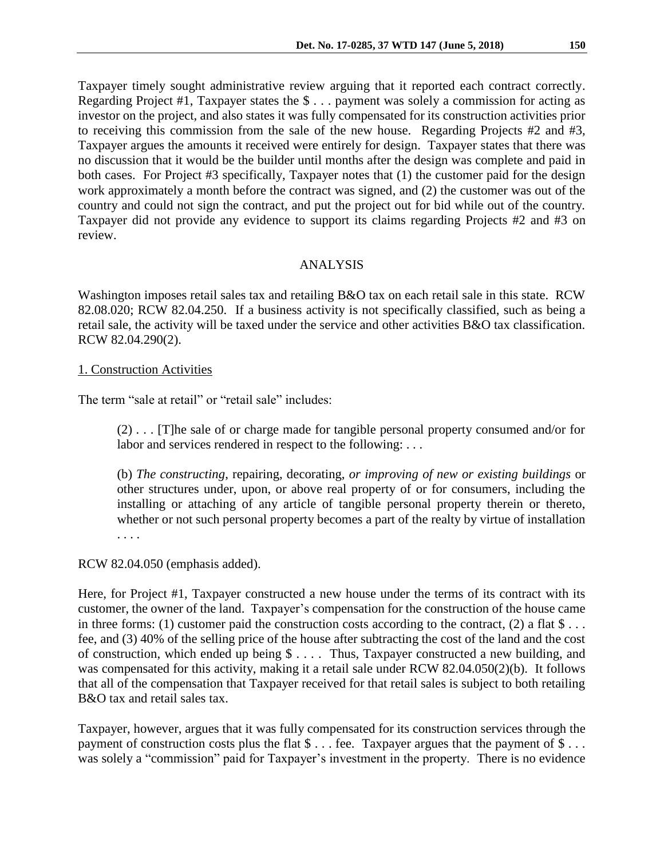Taxpayer timely sought administrative review arguing that it reported each contract correctly. Regarding Project #1, Taxpayer states the \$ . . . payment was solely a commission for acting as investor on the project, and also states it was fully compensated for its construction activities prior to receiving this commission from the sale of the new house. Regarding Projects #2 and #3, Taxpayer argues the amounts it received were entirely for design. Taxpayer states that there was no discussion that it would be the builder until months after the design was complete and paid in both cases. For Project #3 specifically, Taxpayer notes that (1) the customer paid for the design work approximately a month before the contract was signed, and (2) the customer was out of the country and could not sign the contract, and put the project out for bid while out of the country. Taxpayer did not provide any evidence to support its claims regarding Projects #2 and #3 on review.

### ANALYSIS

Washington imposes retail sales tax and retailing B&O tax on each retail sale in this state. RCW 82.08.020; RCW 82.04.250. If a business activity is not specifically classified, such as being a retail sale, the activity will be taxed under the service and other activities B&O tax classification. RCW 82.04.290(2).

### 1. Construction Activities

The term "sale at retail" or "retail sale" includes:

(2) . . . [T]he sale of or charge made for tangible personal property consumed and/or for labor and services rendered in respect to the following: . . .

(b) *The constructing*, repairing, decorating, *or improving of new or existing buildings* or other structures under, upon, or above real property of or for consumers, including the installing or attaching of any article of tangible personal property therein or thereto, whether or not such personal property becomes a part of the realty by virtue of installation . . . .

RCW 82.04.050 (emphasis added).

Here, for Project #1, Taxpayer constructed a new house under the terms of its contract with its customer, the owner of the land. Taxpayer's compensation for the construction of the house came in three forms: (1) customer paid the construction costs according to the contract, (2) a flat  $\$\dots$ fee, and (3) 40% of the selling price of the house after subtracting the cost of the land and the cost of construction, which ended up being \$ . . . . Thus, Taxpayer constructed a new building, and was compensated for this activity, making it a retail sale under RCW 82.04.050(2)(b). It follows that all of the compensation that Taxpayer received for that retail sales is subject to both retailing B&O tax and retail sales tax.

Taxpayer, however, argues that it was fully compensated for its construction services through the payment of construction costs plus the flat \$ . . . fee. Taxpayer argues that the payment of \$ . . . was solely a "commission" paid for Taxpayer's investment in the property. There is no evidence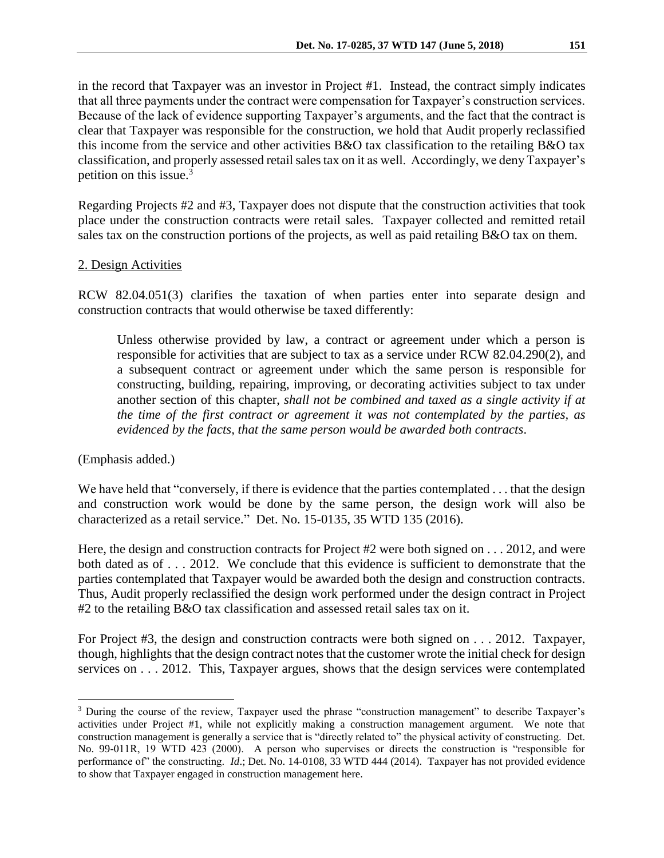in the record that Taxpayer was an investor in Project #1. Instead, the contract simply indicates that all three payments under the contract were compensation for Taxpayer's construction services. Because of the lack of evidence supporting Taxpayer's arguments, and the fact that the contract is clear that Taxpayer was responsible for the construction, we hold that Audit properly reclassified this income from the service and other activities B&O tax classification to the retailing B&O tax classification, and properly assessed retail sales tax on it as well. Accordingly, we deny Taxpayer's petition on this issue.<sup>3</sup>

Regarding Projects #2 and #3, Taxpayer does not dispute that the construction activities that took place under the construction contracts were retail sales. Taxpayer collected and remitted retail sales tax on the construction portions of the projects, as well as paid retailing B&O tax on them.

### 2. Design Activities

RCW 82.04.051(3) clarifies the taxation of when parties enter into separate design and construction contracts that would otherwise be taxed differently:

Unless otherwise provided by law, a contract or agreement under which a person is responsible for activities that are subject to tax as a service under RCW 82.04.290(2), and a subsequent contract or agreement under which the same person is responsible for constructing, building, repairing, improving, or decorating activities subject to tax under another section of this chapter, *shall not be combined and taxed as a single activity if at the time of the first contract or agreement it was not contemplated by the parties, as evidenced by the facts, that the same person would be awarded both contracts*.

(Emphasis added.)

 $\overline{a}$ 

We have held that "conversely, if there is evidence that the parties contemplated . . . that the design and construction work would be done by the same person, the design work will also be characterized as a retail service." Det. No. 15-0135, 35 WTD 135 (2016).

Here, the design and construction contracts for Project #2 were both signed on . . . 2012, and were both dated as of . . . 2012. We conclude that this evidence is sufficient to demonstrate that the parties contemplated that Taxpayer would be awarded both the design and construction contracts. Thus, Audit properly reclassified the design work performed under the design contract in Project #2 to the retailing B&O tax classification and assessed retail sales tax on it.

For Project #3, the design and construction contracts were both signed on . . . 2012. Taxpayer, though, highlights that the design contract notes that the customer wrote the initial check for design services on . . . 2012. This, Taxpayer argues, shows that the design services were contemplated

<sup>3</sup> During the course of the review, Taxpayer used the phrase "construction management" to describe Taxpayer's activities under Project #1, while not explicitly making a construction management argument. We note that construction management is generally a service that is "directly related to" the physical activity of constructing. Det. No. 99-011R, 19 WTD 423 (2000). A person who supervises or directs the construction is "responsible for performance of" the constructing. *Id*.; Det. No. 14-0108, 33 WTD 444 (2014). Taxpayer has not provided evidence to show that Taxpayer engaged in construction management here.